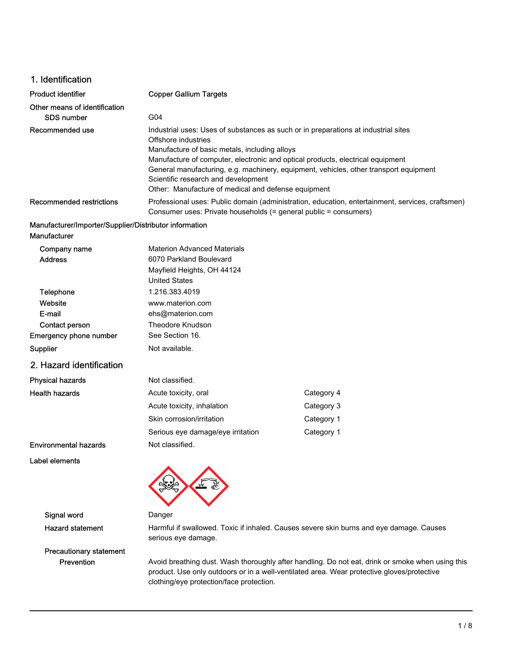## 1. Identification

| <b>Product identifier</b>     | <b>Copper Gallium Targets</b>                                                                                                                                        |
|-------------------------------|----------------------------------------------------------------------------------------------------------------------------------------------------------------------|
| Other means of identification |                                                                                                                                                                      |
| <b>SDS number</b>             | G04                                                                                                                                                                  |
| Recommended use               | Industrial uses: Uses of substances as such or in preparations at industrial sites                                                                                   |
|                               | Offshore industries                                                                                                                                                  |
|                               | Manufacture of basic metals, including alloys                                                                                                                        |
|                               | Manufacture of computer, electronic and optical products, electrical equipment                                                                                       |
|                               | General manufacturing, e.g. machinery, equipment, vehicles, other transport equipment                                                                                |
|                               | Scientific research and development                                                                                                                                  |
|                               | Other: Manufacture of medical and defense equipment                                                                                                                  |
| Recommended restrictions      | Professional uses: Public domain (administration, education, entertainment, services, craftsmen)<br>Consumer uses: Private households (= general public = consumers) |

#### Manufacturer/Importer/Supplier/Distributor information Manufacturer

| Company name                 | <b>Materion Advanced Materials</b> |            |
|------------------------------|------------------------------------|------------|
| <b>Address</b>               | 6070 Parkland Boulevard            |            |
|                              | Mayfield Heights, OH 44124         |            |
|                              | <b>United States</b>               |            |
| Telephone                    | 1.216.383.4019                     |            |
| Website                      | www.materion.com                   |            |
| E-mail                       | ehs@materion.com                   |            |
| Contact person               | Theodore Knudson                   |            |
| Emergency phone number       | See Section 16.                    |            |
| Supplier                     | Not available.                     |            |
| 2. Hazard identification     |                                    |            |
| <b>Physical hazards</b>      | Not classified.                    |            |
| <b>Health hazards</b>        | Acute toxicity, oral               | Category 4 |
|                              | Acute toxicity, inhalation         | Category 3 |
|                              | Skin corrosion/irritation          | Category 1 |
|                              | Serious eye damage/eye irritation  | Category 1 |
| <b>Environmental hazards</b> | Not classified.                    |            |

Label elements



Signal word Danger

Precautionary statement

Hazard statement Harmful if swallowed. Toxic if inhaled. Causes severe skin burns and eye damage. Causes serious eye damage.

Prevention Avoid breathing dust. Wash thoroughly after handling. Do not eat, drink or smoke when using this product. Use only outdoors or in a well-ventilated area. Wear protective gloves/protective clothing/eye protection/face protection.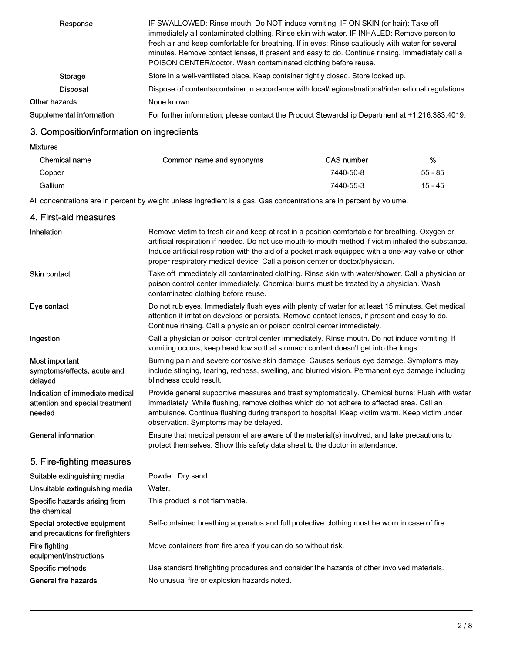| Response                 | IF SWALLOWED: Rinse mouth. Do NOT induce vomiting. IF ON SKIN (or hair): Take off<br>immediately all contaminated clothing. Rinse skin with water. IF INHALED: Remove person to<br>fresh air and keep comfortable for breathing. If in eyes: Rinse cautiously with water for several<br>minutes. Remove contact lenses, if present and easy to do. Continue rinsing. Immediately call a<br>POISON CENTER/doctor. Wash contaminated clothing before reuse. |
|--------------------------|-----------------------------------------------------------------------------------------------------------------------------------------------------------------------------------------------------------------------------------------------------------------------------------------------------------------------------------------------------------------------------------------------------------------------------------------------------------|
| Storage                  | Store in a well-ventilated place. Keep container tightly closed. Store locked up.                                                                                                                                                                                                                                                                                                                                                                         |
| <b>Disposal</b>          | Dispose of contents/container in accordance with local/regional/national/international regulations.                                                                                                                                                                                                                                                                                                                                                       |
| Other hazards            | None known.                                                                                                                                                                                                                                                                                                                                                                                                                                               |
| Supplemental information | For further information, please contact the Product Stewardship Department at +1.216.383.4019.                                                                                                                                                                                                                                                                                                                                                            |

# 3. Composition/information on ingredients

Mixtures

| Chemical name | Common name and synonyms | CAS number | %       |
|---------------|--------------------------|------------|---------|
| Copper        |                          | 7440-50-8  | 55 - 85 |
| Gallium       |                          | 7440-55-3  | 15 - 45 |

All concentrations are in percent by weight unless ingredient is a gas. Gas concentrations are in percent by volume.

| 4. First-aid measures                                                        |                                                                                                                                                                                                                                                                                                                                                                                             |
|------------------------------------------------------------------------------|---------------------------------------------------------------------------------------------------------------------------------------------------------------------------------------------------------------------------------------------------------------------------------------------------------------------------------------------------------------------------------------------|
| Inhalation                                                                   | Remove victim to fresh air and keep at rest in a position comfortable for breathing. Oxygen or<br>artificial respiration if needed. Do not use mouth-to-mouth method if victim inhaled the substance.<br>Induce artificial respiration with the aid of a pocket mask equipped with a one-way valve or other<br>proper respiratory medical device. Call a poison center or doctor/physician. |
| <b>Skin contact</b>                                                          | Take off immediately all contaminated clothing. Rinse skin with water/shower. Call a physician or<br>poison control center immediately. Chemical burns must be treated by a physician. Wash<br>contaminated clothing before reuse.                                                                                                                                                          |
| Eye contact                                                                  | Do not rub eyes. Immediately flush eyes with plenty of water for at least 15 minutes. Get medical<br>attention if irritation develops or persists. Remove contact lenses, if present and easy to do.<br>Continue rinsing. Call a physician or poison control center immediately.                                                                                                            |
| Ingestion                                                                    | Call a physician or poison control center immediately. Rinse mouth. Do not induce vomiting. If<br>vomiting occurs, keep head low so that stomach content doesn't get into the lungs.                                                                                                                                                                                                        |
| Most important<br>symptoms/effects, acute and<br>delayed                     | Burning pain and severe corrosive skin damage. Causes serious eye damage. Symptoms may<br>include stinging, tearing, redness, swelling, and blurred vision. Permanent eye damage including<br>blindness could result.                                                                                                                                                                       |
| Indication of immediate medical<br>attention and special treatment<br>needed | Provide general supportive measures and treat symptomatically. Chemical burns: Flush with water<br>immediately. While flushing, remove clothes which do not adhere to affected area. Call an<br>ambulance. Continue flushing during transport to hospital. Keep victim warm. Keep victim under<br>observation. Symptoms may be delayed.                                                     |
| <b>General information</b>                                                   | Ensure that medical personnel are aware of the material(s) involved, and take precautions to<br>protect themselves. Show this safety data sheet to the doctor in attendance.                                                                                                                                                                                                                |
| 5. Fire-fighting measures                                                    |                                                                                                                                                                                                                                                                                                                                                                                             |
| Suitable extinguishing media                                                 | Powder. Dry sand.                                                                                                                                                                                                                                                                                                                                                                           |
| Unsuitable extinguishing media                                               | Water.                                                                                                                                                                                                                                                                                                                                                                                      |
| Specific hazards arising from<br>the chemical                                | This product is not flammable.                                                                                                                                                                                                                                                                                                                                                              |
| Special protective equipment<br>and precautions for firefighters             | Self-contained breathing apparatus and full protective clothing must be worn in case of fire.                                                                                                                                                                                                                                                                                               |
| Fire fighting<br>equipment/instructions                                      | Move containers from fire area if you can do so without risk.                                                                                                                                                                                                                                                                                                                               |
| Specific methods                                                             | Use standard firefighting procedures and consider the hazards of other involved materials.                                                                                                                                                                                                                                                                                                  |
| <b>General fire hazards</b>                                                  | No unusual fire or explosion hazards noted.                                                                                                                                                                                                                                                                                                                                                 |
|                                                                              |                                                                                                                                                                                                                                                                                                                                                                                             |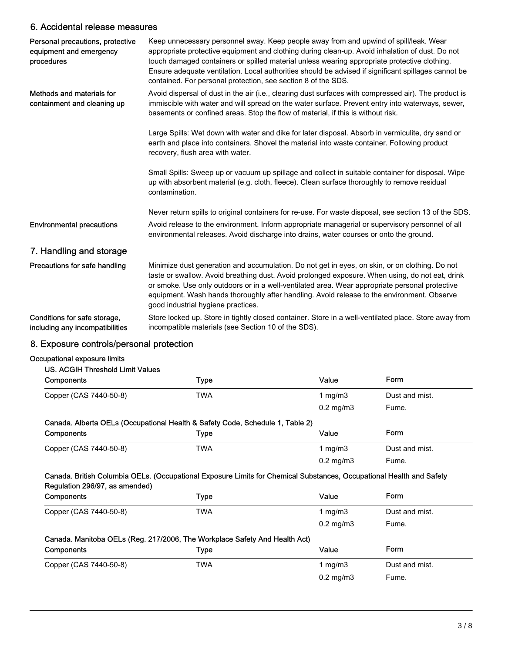# 6. Accidental release measures

| Personal precautions, protective<br>equipment and emergency<br>procedures | Keep unnecessary personnel away. Keep people away from and upwind of spill/leak. Wear<br>appropriate protective equipment and clothing during clean-up. Avoid inhalation of dust. Do not<br>touch damaged containers or spilled material unless wearing appropriate protective clothing.<br>Ensure adequate ventilation. Local authorities should be advised if significant spillages cannot be<br>contained. For personal protection, see section 8 of the SDS. |
|---------------------------------------------------------------------------|------------------------------------------------------------------------------------------------------------------------------------------------------------------------------------------------------------------------------------------------------------------------------------------------------------------------------------------------------------------------------------------------------------------------------------------------------------------|
| Methods and materials for<br>containment and cleaning up                  | Avoid dispersal of dust in the air (i.e., clearing dust surfaces with compressed air). The product is<br>immiscible with water and will spread on the water surface. Prevent entry into waterways, sewer,<br>basements or confined areas. Stop the flow of material, if this is without risk.                                                                                                                                                                    |
|                                                                           | Large Spills: Wet down with water and dike for later disposal. Absorb in vermiculite, dry sand or<br>earth and place into containers. Shovel the material into waste container. Following product<br>recovery, flush area with water.                                                                                                                                                                                                                            |
|                                                                           | Small Spills: Sweep up or vacuum up spillage and collect in suitable container for disposal. Wipe<br>up with absorbent material (e.g. cloth, fleece). Clean surface thoroughly to remove residual<br>contamination.                                                                                                                                                                                                                                              |
|                                                                           | Never return spills to original containers for re-use. For waste disposal, see section 13 of the SDS.                                                                                                                                                                                                                                                                                                                                                            |
| <b>Environmental precautions</b>                                          | Avoid release to the environment. Inform appropriate managerial or supervisory personnel of all<br>environmental releases. Avoid discharge into drains, water courses or onto the ground.                                                                                                                                                                                                                                                                        |
| 7. Handling and storage                                                   |                                                                                                                                                                                                                                                                                                                                                                                                                                                                  |
| Precautions for safe handling                                             | Minimize dust generation and accumulation. Do not get in eyes, on skin, or on clothing. Do not<br>taste or swallow. Avoid breathing dust. Avoid prolonged exposure. When using, do not eat, drink<br>or smoke. Use only outdoors or in a well-ventilated area. Wear appropriate personal protective<br>equipment. Wash hands thoroughly after handling. Avoid release to the environment. Observe<br>good industrial hygiene practices.                          |
| Conditions for safe storage,<br>including any incompatibilities           | Store locked up. Store in tightly closed container. Store in a well-ventilated place. Store away from<br>incompatible materials (see Section 10 of the SDS).                                                                                                                                                                                                                                                                                                     |
| ~ -<br>.                                                                  | $\mathbf{r}$ and $\mathbf{r}$ and $\mathbf{r}$                                                                                                                                                                                                                                                                                                                                                                                                                   |

# 8. Exposure controls/personal protection

## Occupational exposure limits

| US. ACGIH Threshold Limit Values                                                                                                                       |            |                |                |
|--------------------------------------------------------------------------------------------------------------------------------------------------------|------------|----------------|----------------|
| Components                                                                                                                                             | Type       | Value          | <b>Form</b>    |
| Copper (CAS 7440-50-8)                                                                                                                                 | <b>TWA</b> | 1 mg/m $3$     | Dust and mist. |
|                                                                                                                                                        |            | $0.2$ mg/m $3$ | Fume.          |
| Canada. Alberta OELs (Occupational Health & Safety Code, Schedule 1, Table 2)                                                                          |            |                |                |
| Components                                                                                                                                             | Type       | Value          | Form           |
| Copper (CAS 7440-50-8)                                                                                                                                 | TWA        | 1 mg/m $3$     | Dust and mist. |
|                                                                                                                                                        |            | $0.2$ mg/m $3$ | Fume.          |
| Canada. British Columbia OELs. (Occupational Exposure Limits for Chemical Substances, Occupational Health and Safety<br>Regulation 296/97, as amended) |            |                |                |
| Components                                                                                                                                             | Type       | Value          | <b>Form</b>    |
| Copper (CAS 7440-50-8)                                                                                                                                 | TWA        | 1 mg/m $3$     | Dust and mist. |
|                                                                                                                                                        |            | $0.2$ mg/m $3$ | Fume.          |
| Canada. Manitoba OELs (Reg. 217/2006, The Workplace Safety And Health Act)                                                                             |            |                |                |
| Components                                                                                                                                             | Type       | Value          | Form           |
| Copper (CAS 7440-50-8)                                                                                                                                 | TWA        | 1 mg/m $3$     | Dust and mist. |

0.2 mg/m3 Fume.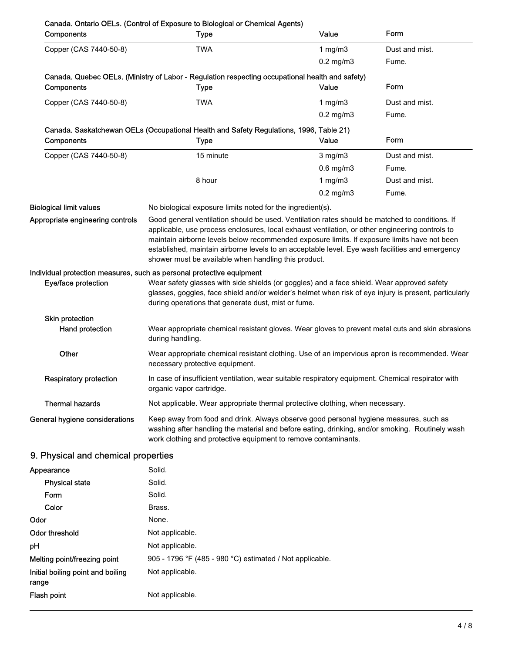| Components                          | Canada. Ontario OELs. (Control of Exposure to Biological or Chemical Agents)<br><b>Type</b>                                                                                                                                                                                                                                                                                                                                                                                                                                                                                                    | Value          | Form           |
|-------------------------------------|------------------------------------------------------------------------------------------------------------------------------------------------------------------------------------------------------------------------------------------------------------------------------------------------------------------------------------------------------------------------------------------------------------------------------------------------------------------------------------------------------------------------------------------------------------------------------------------------|----------------|----------------|
| Copper (CAS 7440-50-8)              | <b>TWA</b>                                                                                                                                                                                                                                                                                                                                                                                                                                                                                                                                                                                     | 1 $mg/m3$      | Dust and mist. |
|                                     |                                                                                                                                                                                                                                                                                                                                                                                                                                                                                                                                                                                                | $0.2$ mg/m $3$ | Fume.          |
| Components                          | Canada. Quebec OELs. (Ministry of Labor - Regulation respecting occupational health and safety)<br>Type                                                                                                                                                                                                                                                                                                                                                                                                                                                                                        | Value          | Form           |
| Copper (CAS 7440-50-8)              | <b>TWA</b>                                                                                                                                                                                                                                                                                                                                                                                                                                                                                                                                                                                     | 1 mg/m $3$     | Dust and mist. |
|                                     |                                                                                                                                                                                                                                                                                                                                                                                                                                                                                                                                                                                                | $0.2$ mg/m $3$ | Fume.          |
|                                     | Canada. Saskatchewan OELs (Occupational Health and Safety Regulations, 1996, Table 21)                                                                                                                                                                                                                                                                                                                                                                                                                                                                                                         |                |                |
| Components                          | <b>Type</b>                                                                                                                                                                                                                                                                                                                                                                                                                                                                                                                                                                                    | Value          | Form           |
| Copper (CAS 7440-50-8)              | 15 minute                                                                                                                                                                                                                                                                                                                                                                                                                                                                                                                                                                                      | $3$ mg/m $3$   | Dust and mist. |
|                                     |                                                                                                                                                                                                                                                                                                                                                                                                                                                                                                                                                                                                | $0.6$ mg/m $3$ | Fume.          |
|                                     | 8 hour                                                                                                                                                                                                                                                                                                                                                                                                                                                                                                                                                                                         | 1 $mg/m3$      | Dust and mist. |
|                                     |                                                                                                                                                                                                                                                                                                                                                                                                                                                                                                                                                                                                | $0.2$ mg/m $3$ | Fume.          |
| <b>Biological limit values</b>      | No biological exposure limits noted for the ingredient(s).                                                                                                                                                                                                                                                                                                                                                                                                                                                                                                                                     |                |                |
| Eye/face protection                 | maintain airborne levels below recommended exposure limits. If exposure limits have not been<br>established, maintain airborne levels to an acceptable level. Eye wash facilities and emergency<br>shower must be available when handling this product.<br>Individual protection measures, such as personal protective equipment<br>Wear safety glasses with side shields (or goggles) and a face shield. Wear approved safety<br>glasses, goggles, face shield and/or welder's helmet when risk of eye injury is present, particularly<br>during operations that generate dust, mist or fume. |                |                |
| Skin protection                     |                                                                                                                                                                                                                                                                                                                                                                                                                                                                                                                                                                                                |                |                |
| Hand protection                     | Wear appropriate chemical resistant gloves. Wear gloves to prevent metal cuts and skin abrasions<br>during handling.                                                                                                                                                                                                                                                                                                                                                                                                                                                                           |                |                |
| Other                               | Wear appropriate chemical resistant clothing. Use of an impervious apron is recommended. Wear<br>necessary protective equipment.                                                                                                                                                                                                                                                                                                                                                                                                                                                               |                |                |
| <b>Respiratory protection</b>       | In case of insufficient ventilation, wear suitable respiratory equipment. Chemical respirator with<br>organic vapor cartridge.                                                                                                                                                                                                                                                                                                                                                                                                                                                                 |                |                |
| <b>Thermal hazards</b>              | Not applicable. Wear appropriate thermal protective clothing, when necessary.                                                                                                                                                                                                                                                                                                                                                                                                                                                                                                                  |                |                |
| General hygiene considerations      | Keep away from food and drink. Always observe good personal hygiene measures, such as<br>washing after handling the material and before eating, drinking, and/or smoking. Routinely wash<br>work clothing and protective equipment to remove contaminants.                                                                                                                                                                                                                                                                                                                                     |                |                |
| 9. Physical and chemical properties |                                                                                                                                                                                                                                                                                                                                                                                                                                                                                                                                                                                                |                |                |
| Appearance                          | Solid.                                                                                                                                                                                                                                                                                                                                                                                                                                                                                                                                                                                         |                |                |
| <b>Physical state</b>               | Solid.                                                                                                                                                                                                                                                                                                                                                                                                                                                                                                                                                                                         |                |                |

| Solid.                                                   |
|----------------------------------------------------------|
| Solid.                                                   |
| Brass.                                                   |
| None.                                                    |
| Not applicable.                                          |
| Not applicable.                                          |
| 905 - 1796 °F (485 - 980 °C) estimated / Not applicable. |
| Not applicable.                                          |
| Not applicable.                                          |
|                                                          |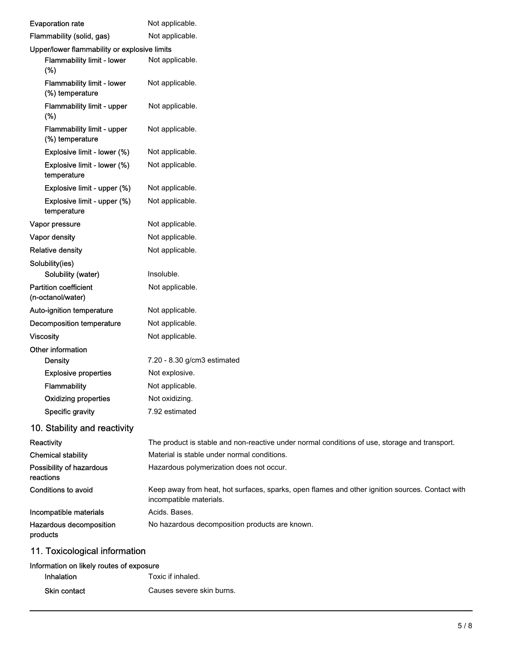| <b>Evaporation rate</b>                              | Not applicable.                                                                                                            |
|------------------------------------------------------|----------------------------------------------------------------------------------------------------------------------------|
| Flammability (solid, gas)                            | Not applicable.                                                                                                            |
| Upper/lower flammability or explosive limits         |                                                                                                                            |
| Flammability limit - lower<br>(%)                    | Not applicable.                                                                                                            |
| <b>Flammability limit - lower</b><br>(%) temperature | Not applicable.                                                                                                            |
| <b>Flammability limit - upper</b><br>(%)             | Not applicable.                                                                                                            |
| Flammability limit - upper<br>(%) temperature        | Not applicable.                                                                                                            |
| Explosive limit - lower (%)                          | Not applicable.                                                                                                            |
| Explosive limit - lower (%)<br>temperature           | Not applicable.                                                                                                            |
| Explosive limit - upper (%)                          | Not applicable.                                                                                                            |
| Explosive limit - upper (%)<br>temperature           | Not applicable.                                                                                                            |
| Vapor pressure                                       | Not applicable.                                                                                                            |
| Vapor density                                        | Not applicable.                                                                                                            |
| <b>Relative density</b>                              | Not applicable.                                                                                                            |
| Solubility(ies)                                      |                                                                                                                            |
| Solubility (water)                                   | Insoluble.                                                                                                                 |
| <b>Partition coefficient</b><br>(n-octanol/water)    | Not applicable.                                                                                                            |
| Auto-ignition temperature                            | Not applicable.                                                                                                            |
| <b>Decomposition temperature</b>                     | Not applicable.                                                                                                            |
| <b>Viscosity</b>                                     | Not applicable.                                                                                                            |
| Other information                                    |                                                                                                                            |
| <b>Density</b>                                       | 7.20 - 8.30 g/cm3 estimated                                                                                                |
| <b>Explosive properties</b>                          | Not explosive.                                                                                                             |
| <b>Flammability</b>                                  | Not applicable.                                                                                                            |
| <b>Oxidizing properties</b>                          | Not oxidizing.                                                                                                             |
| Specific gravity                                     | 7.92 estimated                                                                                                             |
| 10. Stability and reactivity                         |                                                                                                                            |
| Reactivity                                           | The product is stable and non-reactive under normal conditions of use, storage and transport.                              |
| <b>Chemical stability</b>                            | Material is stable under normal conditions.                                                                                |
| Possibility of hazardous<br>reactions                | Hazardous polymerization does not occur.                                                                                   |
| Conditions to avoid                                  | Keep away from heat, hot surfaces, sparks, open flames and other ignition sources. Contact with<br>incompatible materials. |
| Incompatible materials                               | Acids. Bases.                                                                                                              |
| Hazardous decomposition<br>products                  | No hazardous decomposition products are known.                                                                             |
| 11. Toxicological information                        |                                                                                                                            |

# Information on likely routes of exposure Inhalation Toxic if inhaled. Skin contact Causes severe skin burns.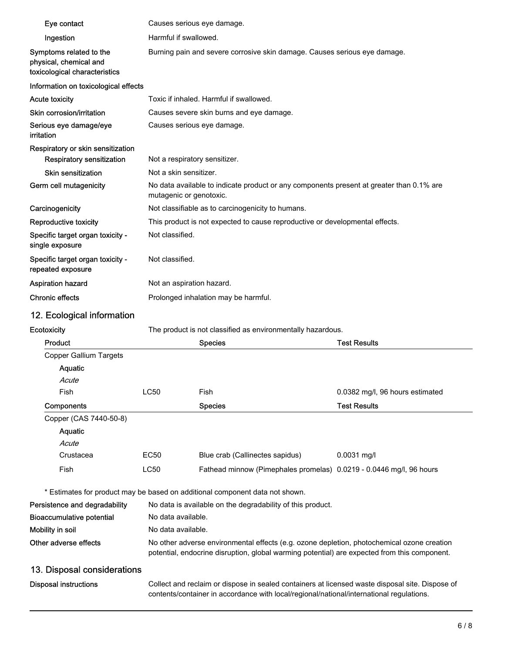| Eye contact                                                                        |                           |                                                                                                                                                                                             |                                 |  |
|------------------------------------------------------------------------------------|---------------------------|---------------------------------------------------------------------------------------------------------------------------------------------------------------------------------------------|---------------------------------|--|
|                                                                                    |                           | Causes serious eye damage.<br>Harmful if swallowed.                                                                                                                                         |                                 |  |
| Ingestion                                                                          |                           | Burning pain and severe corrosive skin damage. Causes serious eye damage.                                                                                                                   |                                 |  |
| Symptoms related to the<br>physical, chemical and<br>toxicological characteristics |                           |                                                                                                                                                                                             |                                 |  |
| Information on toxicological effects                                               |                           |                                                                                                                                                                                             |                                 |  |
| <b>Acute toxicity</b>                                                              |                           | Toxic if inhaled. Harmful if swallowed.                                                                                                                                                     |                                 |  |
| Skin corrosion/irritation                                                          |                           | Causes severe skin burns and eye damage.                                                                                                                                                    |                                 |  |
| Serious eye damage/eye<br>irritation                                               |                           | Causes serious eye damage.                                                                                                                                                                  |                                 |  |
| Respiratory or skin sensitization<br><b>Respiratory sensitization</b>              |                           | Not a respiratory sensitizer.                                                                                                                                                               |                                 |  |
| <b>Skin sensitization</b>                                                          | Not a skin sensitizer.    |                                                                                                                                                                                             |                                 |  |
| Germ cell mutagenicity                                                             | mutagenic or genotoxic.   | No data available to indicate product or any components present at greater than 0.1% are                                                                                                    |                                 |  |
| Carcinogenicity                                                                    |                           | Not classifiable as to carcinogenicity to humans.                                                                                                                                           |                                 |  |
| Reproductive toxicity                                                              |                           | This product is not expected to cause reproductive or developmental effects.                                                                                                                |                                 |  |
| Specific target organ toxicity -<br>single exposure                                | Not classified.           |                                                                                                                                                                                             |                                 |  |
| Specific target organ toxicity -<br>repeated exposure                              | Not classified.           |                                                                                                                                                                                             |                                 |  |
| <b>Aspiration hazard</b>                                                           | Not an aspiration hazard. |                                                                                                                                                                                             |                                 |  |
| <b>Chronic effects</b>                                                             |                           | Prolonged inhalation may be harmful.                                                                                                                                                        |                                 |  |
| 12. Ecological information                                                         |                           |                                                                                                                                                                                             |                                 |  |
| Ecotoxicity                                                                        |                           | The product is not classified as environmentally hazardous.                                                                                                                                 |                                 |  |
| Product                                                                            |                           | <b>Species</b>                                                                                                                                                                              | <b>Test Results</b>             |  |
|                                                                                    |                           |                                                                                                                                                                                             |                                 |  |
| <b>Copper Gallium Targets</b>                                                      |                           |                                                                                                                                                                                             |                                 |  |
| Aquatic                                                                            |                           |                                                                                                                                                                                             |                                 |  |
| Acute                                                                              |                           |                                                                                                                                                                                             |                                 |  |
| Fish                                                                               | <b>LC50</b>               | Fish                                                                                                                                                                                        | 0.0382 mg/l, 96 hours estimated |  |
| Components                                                                         |                           | <b>Species</b>                                                                                                                                                                              | <b>Test Results</b>             |  |
| Copper (CAS 7440-50-8)                                                             |                           |                                                                                                                                                                                             |                                 |  |
| Aquatic                                                                            |                           |                                                                                                                                                                                             |                                 |  |
| Acute                                                                              |                           |                                                                                                                                                                                             |                                 |  |
| Crustacea                                                                          | EC50                      | Blue crab (Callinectes sapidus)                                                                                                                                                             | $0.0031$ mg/l                   |  |
| Fish                                                                               | <b>LC50</b>               | Fathead minnow (Pimephales promelas) 0.0219 - 0.0446 mg/l, 96 hours                                                                                                                         |                                 |  |
|                                                                                    |                           | * Estimates for product may be based on additional component data not shown.                                                                                                                |                                 |  |
| Persistence and degradability                                                      |                           | No data is available on the degradability of this product.                                                                                                                                  |                                 |  |
| <b>Bioaccumulative potential</b>                                                   | No data available.        |                                                                                                                                                                                             |                                 |  |
| Mobility in soil                                                                   | No data available.        |                                                                                                                                                                                             |                                 |  |
| Other adverse effects                                                              |                           | No other adverse environmental effects (e.g. ozone depletion, photochemical ozone creation<br>potential, endocrine disruption, global warming potential) are expected from this component.  |                                 |  |
|                                                                                    |                           |                                                                                                                                                                                             |                                 |  |
| 13. Disposal considerations<br><b>Disposal instructions</b>                        |                           | Collect and reclaim or dispose in sealed containers at licensed waste disposal site. Dispose of<br>contents/container in accordance with local/regional/national/international regulations. |                                 |  |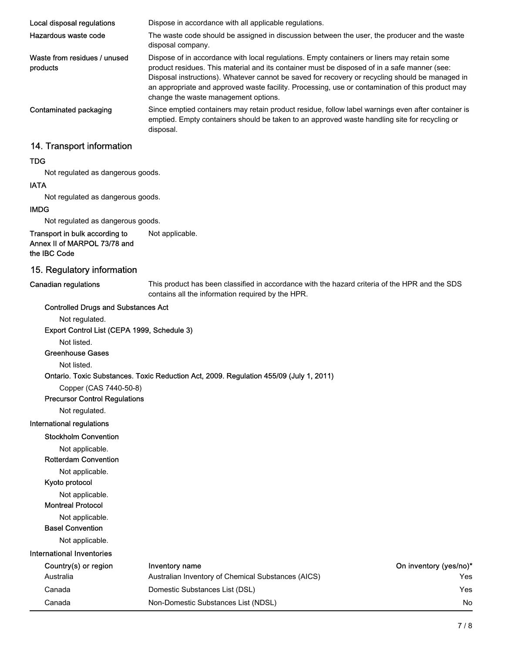| Local disposal regulations               | Dispose in accordance with all applicable regulations.                                                                                                                                                                                                                                                                                                                                                                                     |
|------------------------------------------|--------------------------------------------------------------------------------------------------------------------------------------------------------------------------------------------------------------------------------------------------------------------------------------------------------------------------------------------------------------------------------------------------------------------------------------------|
| Hazardous waste code                     | The waste code should be assigned in discussion between the user, the producer and the waste<br>disposal company.                                                                                                                                                                                                                                                                                                                          |
| Waste from residues / unused<br>products | Dispose of in accordance with local regulations. Empty containers or liners may retain some<br>product residues. This material and its container must be disposed of in a safe manner (see:<br>Disposal instructions). Whatever cannot be saved for recovery or recycling should be managed in<br>an appropriate and approved waste facility. Processing, use or contamination of this product may<br>change the waste management options. |
| Contaminated packaging                   | Since emptied containers may retain product residue, follow label warnings even after container is<br>emptied. Empty containers should be taken to an approved waste handling site for recycling or<br>disposal.                                                                                                                                                                                                                           |
| .                                        |                                                                                                                                                                                                                                                                                                                                                                                                                                            |

## 14. Transport information

#### TDG

Not regulated as dangerous goods.

#### IATA

Not regulated as dangerous goods.

#### IMDG

Not regulated as dangerous goods.

Transport in bulk according to Not applicable. Annex II of MARPOL 73/78 and the IBC Code

### 15. Regulatory information

Canadian regulations

This product has been classified in accordance with the hazard criteria of the HPR and the SDS contains all the information required by the HPR.

## Controlled Drugs and Substances Act Not regulated. Export Control List (CEPA 1999, Schedule 3)

Not listed.

#### Greenhouse Gases

Not listed.

#### Ontario. Toxic Substances. Toxic Reduction Act, 2009. Regulation 455/09 (July 1, 2011)

Copper (CAS 7440-50-8)

#### Precursor Control Regulations

Not regulated.

#### International regulations

Stockholm Convention

Not applicable.

Rotterdam Convention

Not applicable.

#### Kyoto protocol

Not applicable.

#### Montreal Protocol

Not applicable.

Basel Convention

Not applicable.

| Country(s) or region | Inventory name                                     | On inventory (yes/no)* |
|----------------------|----------------------------------------------------|------------------------|
| Australia            | Australian Inventory of Chemical Substances (AICS) | Yes                    |
| Canada               | Domestic Substances List (DSL)                     | Yes                    |
| Canada               | Non-Domestic Substances List (NDSL)                | No                     |